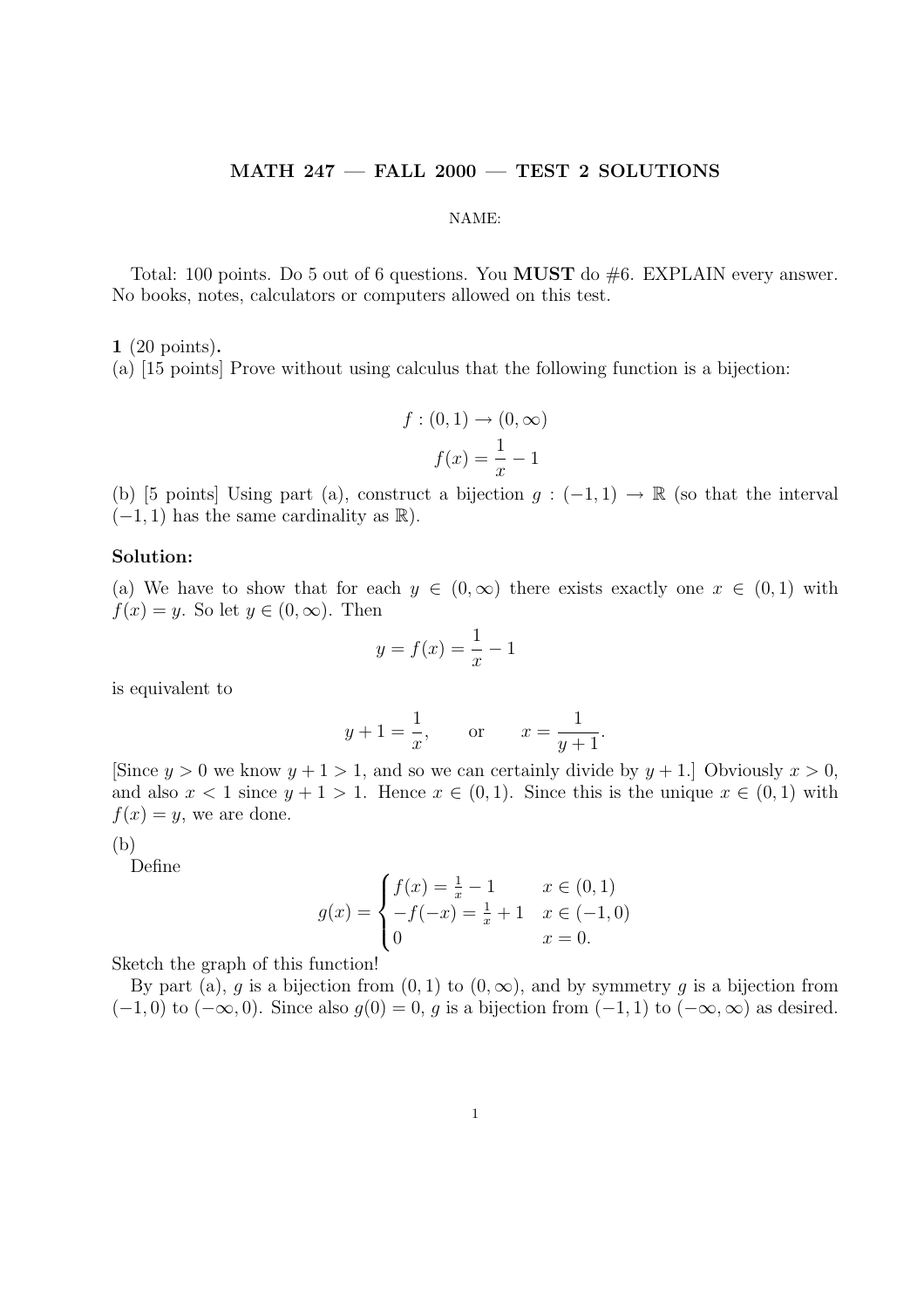### MATH 247 — FALL 2000 — TEST 2 SOLUTIONS

#### NAME:

Total: 100 points. Do 5 out of 6 questions. You MUST do #6. EXPLAIN every answer. No books, notes, calculators or computers allowed on this test.

1 (20 points).

(a) [15 points] Prove without using calculus that the following function is a bijection:

$$
f: (0,1) \to (0,\infty)
$$

$$
f(x) = \frac{1}{x} - 1
$$

(b) [5 points] Using part (a), construct a bijection  $g: (-1,1) \to \mathbb{R}$  (so that the interval  $(-1, 1)$  has the same cardinality as  $\mathbb{R}$ ).

## Solution:

(a) We have to show that for each  $y \in (0,\infty)$  there exists exactly one  $x \in (0,1)$  with  $f(x) = y$ . So let  $y \in (0, \infty)$ . Then

$$
y = f(x) = \frac{1}{x} - 1
$$

is equivalent to

$$
y + 1 = \frac{1}{x}
$$
, or  $x = \frac{1}{y+1}$ .

[Since  $y > 0$  we know  $y + 1 > 1$ , and so we can certainly divide by  $y + 1$ .] Obviously  $x > 0$ , and also  $x < 1$  since  $y + 1 > 1$ . Hence  $x \in (0, 1)$ . Since this is the unique  $x \in (0, 1)$  with  $f(x) = y$ , we are done.

(b)

Define

$$
g(x) = \begin{cases} f(x) = \frac{1}{x} - 1 & x \in (0, 1) \\ -f(-x) = \frac{1}{x} + 1 & x \in (-1, 0) \\ 0 & x = 0. \end{cases}
$$

Sketch the graph of this function!

By part (a), g is a bijection from  $(0, 1)$  to  $(0, \infty)$ , and by symmetry g is a bijection from  $(-1, 0)$  to  $(-\infty, 0)$ . Since also  $g(0) = 0$ , g is a bijection from  $(-1, 1)$  to  $(-\infty, \infty)$  as desired.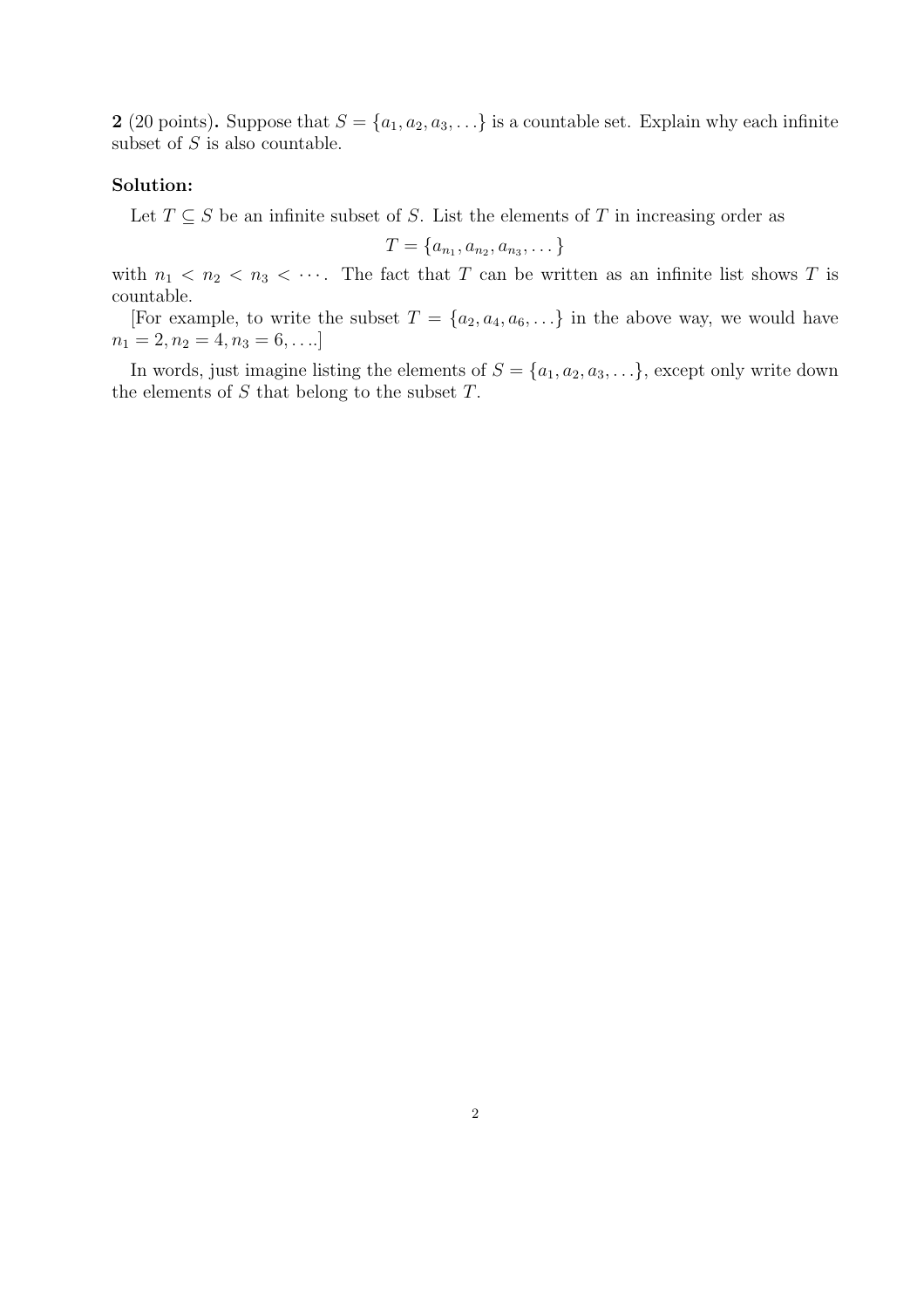2 (20 points). Suppose that  $S = \{a_1, a_2, a_3, \ldots\}$  is a countable set. Explain why each infinite subset of  $S$  is also countable.

#### Solution:

Let  $T \subseteq S$  be an infinite subset of S. List the elements of T in increasing order as

$$
T = \{a_{n_1}, a_{n_2}, a_{n_3}, \dots\}
$$

with  $n_1 < n_2 < n_3 < \cdots$ . The fact that T can be written as an infinite list shows T is countable.

[For example, to write the subset  $T = \{a_2, a_4, a_6, \ldots\}$  in the above way, we would have  $n_1 = 2, n_2 = 4, n_3 = 6, \ldots$ 

In words, just imagine listing the elements of  $S = \{a_1, a_2, a_3, \ldots\}$ , except only write down the elements of  $S$  that belong to the subset  $T$ .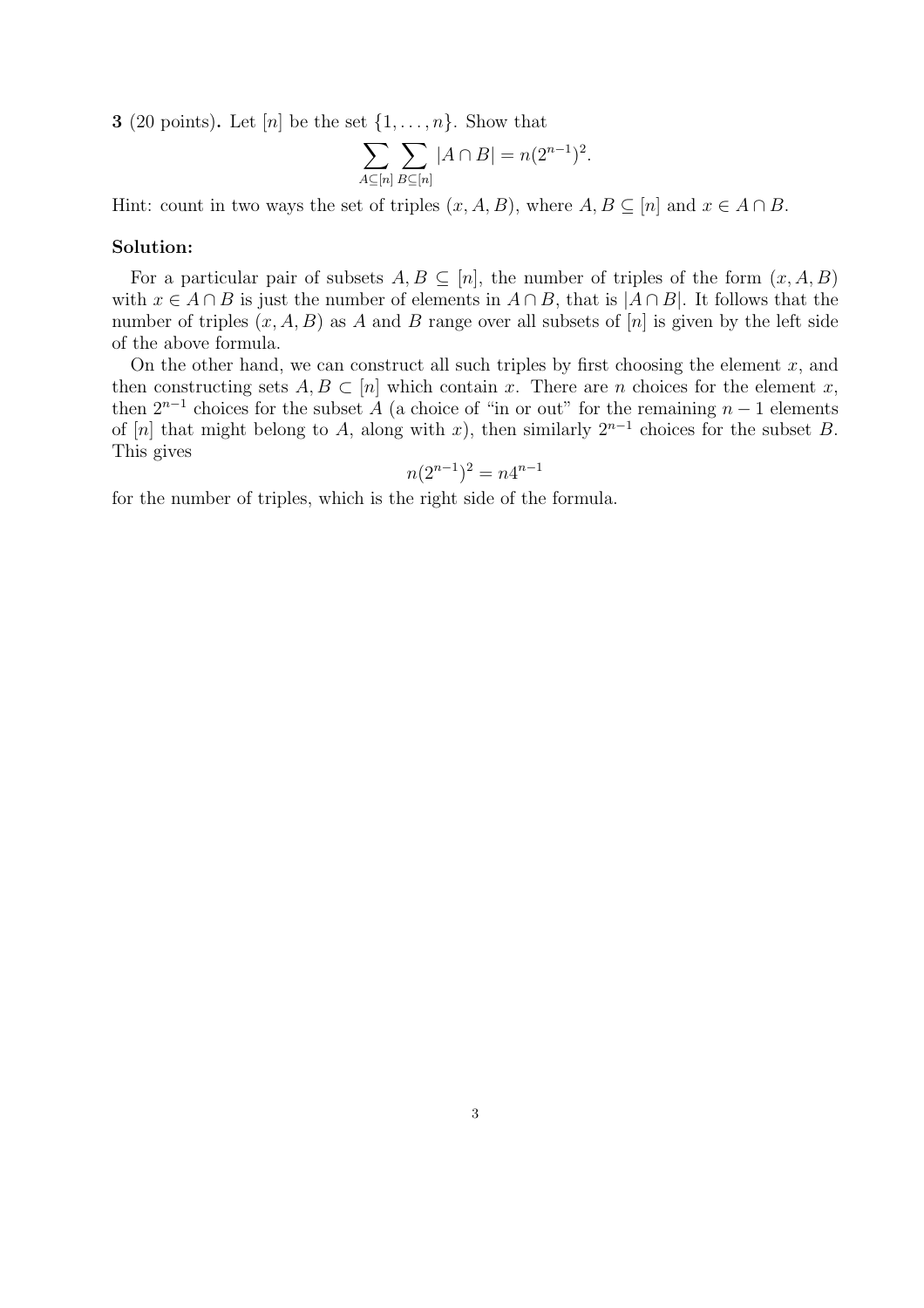**3** (20 points). Let [n] be the set  $\{1, \ldots, n\}$ . Show that

$$
\sum_{A\subseteq [n]} \sum_{B\subseteq [n]} |A \cap B| = n(2^{n-1})^2.
$$

Hint: count in two ways the set of triples  $(x, A, B)$ , where  $A, B \subseteq [n]$  and  $x \in A \cap B$ .

### Solution:

For a particular pair of subsets  $A, B \subseteq [n]$ , the number of triples of the form  $(x, A, B)$ with  $x \in A \cap B$  is just the number of elements in  $A \cap B$ , that is  $|A \cap B|$ . It follows that the number of triples  $(x, A, B)$  as A and B range over all subsets of  $[n]$  is given by the left side of the above formula.

On the other hand, we can construct all such triples by first choosing the element  $x$ , and then constructing sets  $A, B \subset [n]$  which contain x. There are n choices for the element x, then  $2^{n-1}$  choices for the subset A (a choice of "in or out" for the remaining  $n-1$  elements of [n] that might belong to A, along with x), then similarly  $2^{n-1}$  choices for the subset B. This gives

$$
n(2^{n-1})^2 = n4^{n-1}
$$

for the number of triples, which is the right side of the formula.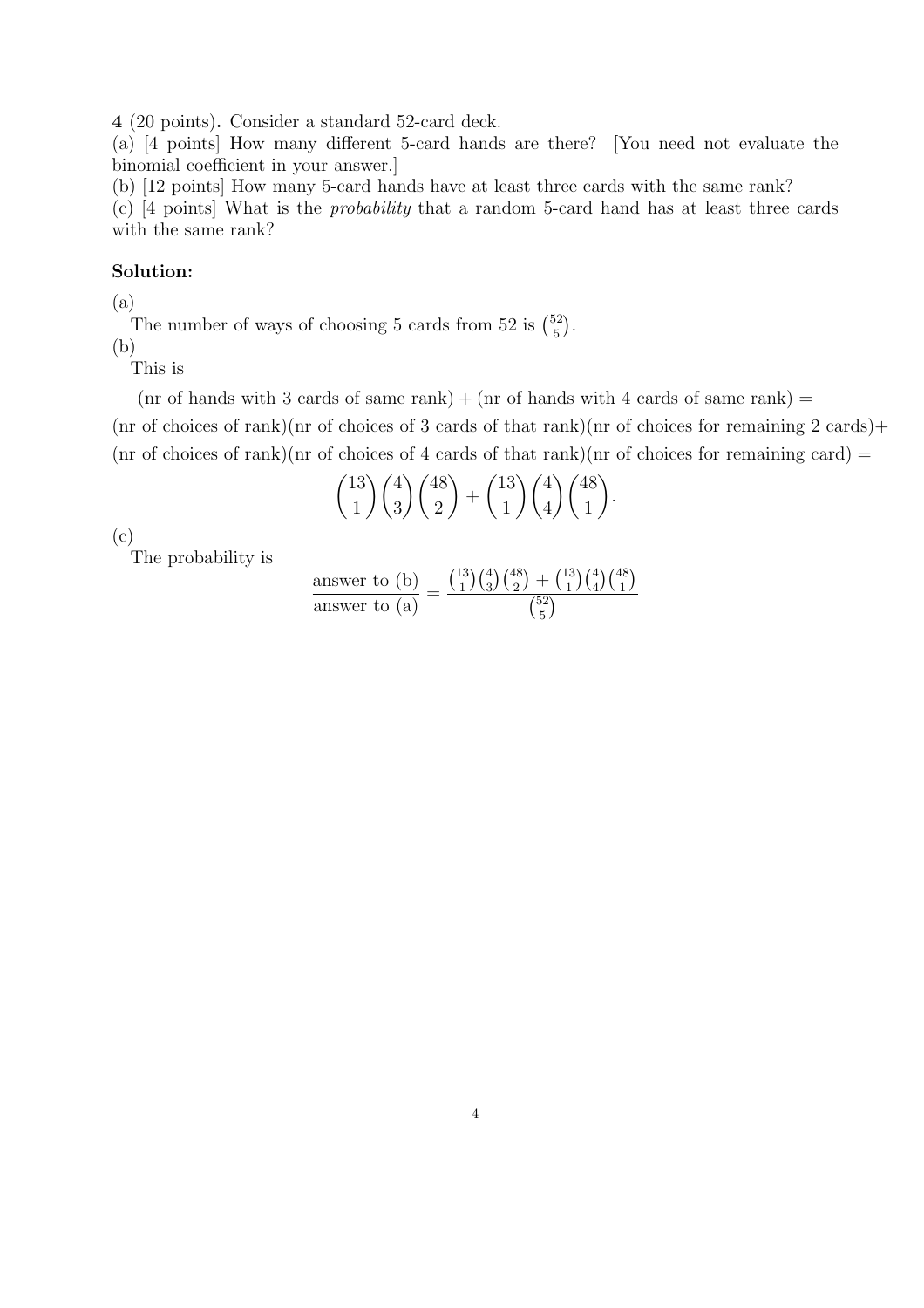4 (20 points). Consider a standard 52-card deck.

(a) [4 points] How many different 5-card hands are there? [You need not evaluate the binomial coefficient in your answer.]

(b) [12 points] How many 5-card hands have at least three cards with the same rank?

(c) [4 points] What is the probability that a random 5-card hand has at least three cards with the same rank?

# Solution:

(a)

The number of ways of choosing 5 cards from 52 is  $\binom{52}{5}$ 5 ¢ .

(b)

This is

 $(nr \text{ of hands with 3 cards of same rank}) + (nr \text{ of hands with 4 cards of same rank}) =$ 

 $(nr \text{ of choices of } rank)(nr \text{ of choices of } 3 \text{ cards of that } rank)(nr \text{ of choices for remaining } 2 \text{ cards})+$  $(\text{nr of choices of rank})(\text{nr of choices of 4 cards of that rank})(\text{nr of choices for remaining card}) =$ 

$$
\binom{13}{1}\binom{4}{3}\binom{48}{2} + \binom{13}{1}\binom{4}{4}\binom{48}{1}.
$$

(c)

The probability is

$$
\frac{\text{answer to (b)}}{\text{answer to (a)}} = \frac{\binom{13}{1}\binom{4}{3}\binom{48}{2} + \binom{13}{1}\binom{4}{4}\binom{48}{1}}{\binom{52}{5}}
$$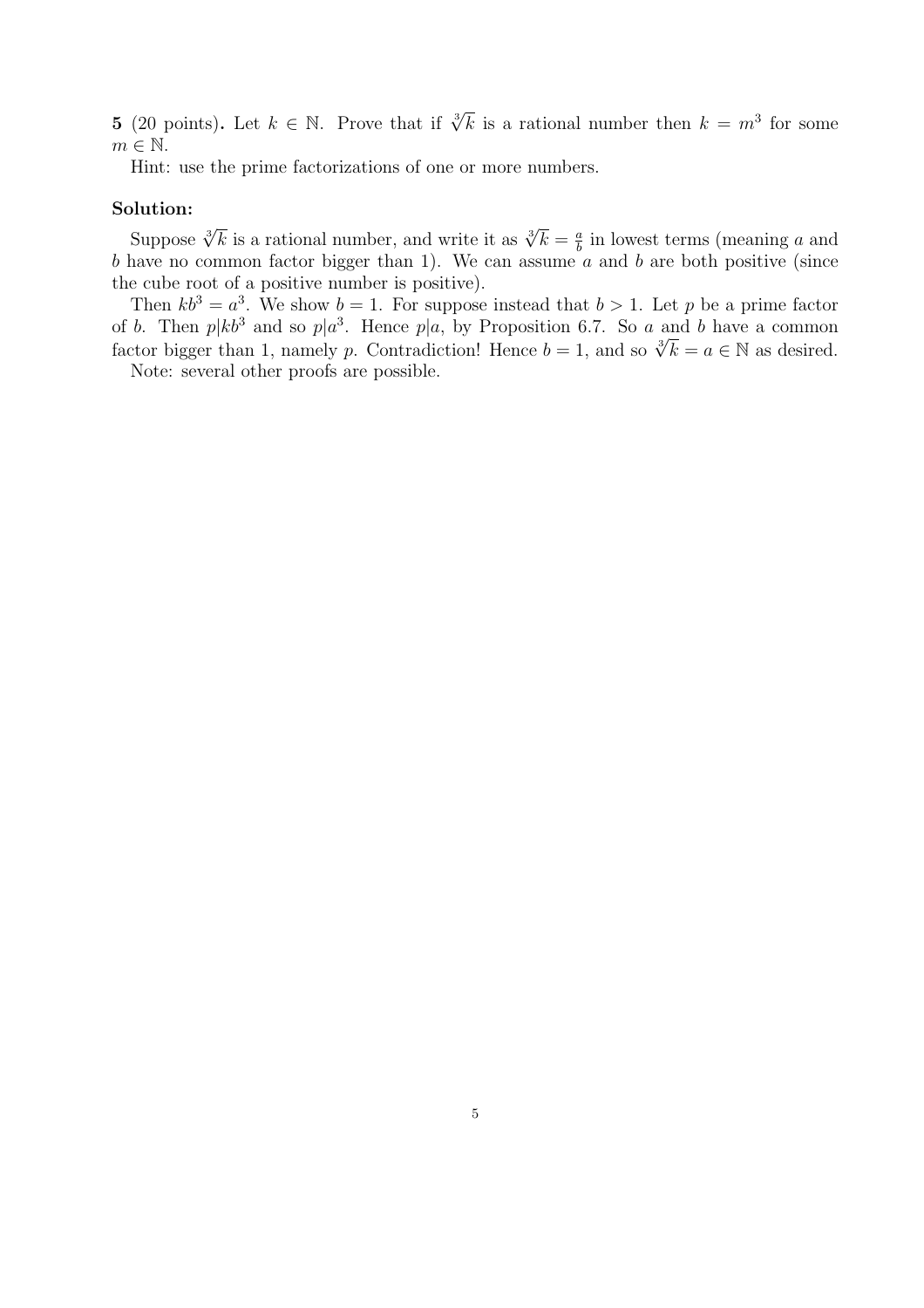**5** (20 points). Let  $k \in \mathbb{N}$ . Prove that if  $\sqrt[3]{k}$  is a rational number then  $k = m^3$  for some  $m \in \mathbb{N}$ .

Hint: use the prime factorizations of one or more numbers.

# Solution:

Suppose  $\sqrt[3]{k}$  is a rational number, and write it as  $\sqrt[3]{k} = \frac{a}{k}$  $\frac{a}{b}$  in lowest terms (meaning a and b have no common factor bigger than 1). We can assume  $a$  and b are both positive (since the cube root of a positive number is positive).

Then  $kb^3 = a^3$ . We show  $b = 1$ . For suppose instead that  $b > 1$ . Let p be a prime factor of b. Then  $p|kb^3$  and so  $p|a^3$ . Hence  $p|a$ , by Proposition 6.7. So a and b have a common or *o*. Then  $p_1 \kappa$  and so  $p_1 a^*$ . Hence  $p_1 a$ , by Proposition 0.7. So *a* and *o* have a common factor bigger than 1, namely *p*. Contradiction! Hence  $b = 1$ , and so  $\sqrt[3]{k} = a \in \mathbb{N}$  as desired.

Note: several other proofs are possible.